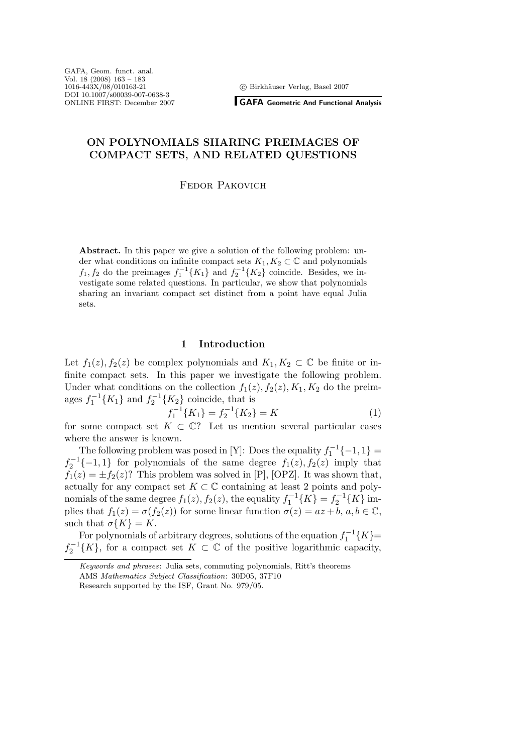<sup>c</sup> Birkh¨auser Verlag, Basel 2007

**GAFA Geometric And Functional Analysis**

## **ON POLYNOMIALS SHARING PREIMAGES OF COMPACT SETS, AND RELATED QUESTIONS**

Fedor Pakovich

**Abstract.** In this paper we give a solution of the following problem: under what conditions on infinite compact sets  $K_1, K_2 \subset \mathbb{C}$  and polynomials  $f_1, f_2$  do the preimages  $f_1^{-1}{K_1}$  and  $f_2^{-1}{K_2}$  coincide. Besides, we investigate some related questions. In particular, we show that polynomials sharing an invariant compact set distinct from a point have equal Julia sets.

### **1 Introduction**

Let  $f_1(z)$ ,  $f_2(z)$  be complex polynomials and  $K_1, K_2 \subset \mathbb{C}$  be finite or infinite compact sets. In this paper we investigate the following problem. Under what conditions on the collection  $f_1(z)$ ,  $f_2(z)$ ,  $K_1$ ,  $K_2$  do the preimages  $f_1^{-1}{K_1}$  and  $f_2^{-1}{K_2}$  coincide, that is

$$
f_1^{-1}\{K_1\} = f_2^{-1}\{K_2\} = K\tag{1}
$$

 $f_1^{-1}{K_1} = f_2^{-1}{K_2} = K$  (1)<br>for some compact set  $K \subset \mathbb{C}$ ? Let us mention several particular cases where the answer is known.

The following problem was posed in [Y]: Does the equality  $f_1^{-1}\{-1,1\} =$  $f_2^{-1}\{-1,1\}$  for polynomials of the same degree  $f_1(z)$ ,  $f_2(z)$  imply that  $f_1(z) = +f_2(z)$ ? This problem was solved in [P] [OPZ] It was shown that  $f_1(z) = \pm f_2(z)$ ? This problem was solved in [P], [OPZ]. It was shown that, actually for any compact set  $K \subset \mathbb{C}$  containing at least 2 points and polynomials of the same degree  $f_1(z)$ ,  $f_2(z)$ , the equality  $f_1^{-1}{K} = f_2^{-1}{K}$  im-<br>plies that  $f_1(z) = \sigma(f_2(z))$  for some linear function  $\sigma(z) = az + b, a, b \in \mathbb{C}$ plies that  $f_1(z) = \sigma(f_2(z))$  for some linear function  $\sigma(z) = az + b, a, b \in \mathbb{C}$ , such that  $\sigma\{K\} = K$ .

For polynomials of arbitrary degrees, solutions of the equation  $f_1^{-1}{K}$  =  $f_2^{-1}{K}$ , for a compact set  $K \subset \mathbb{C}$  of the positive logarithmic capacity,

*Keywords and phrases*: Julia sets, commuting polynomials, Ritt's theorems AMS *Mathematics Subject Classification*: 30D05, 37F10 Research supported by the ISF, Grant No. 979/05.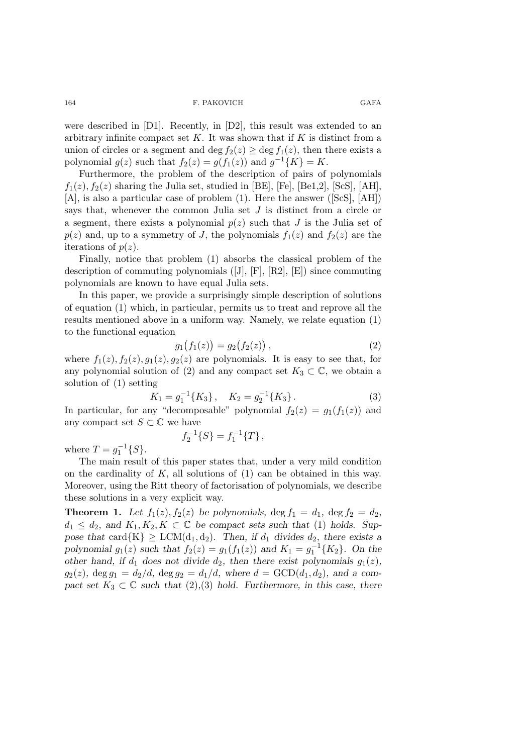were described in [D1]. Recently, in [D2], this result was extended to an arbitrary infinite compact set  $K$ . It was shown that if  $K$  is distinct from a union of circles or a segment and deg  $f_2(z) \ge \deg f_1(z)$ , then there exists a polynomial  $g(z)$  such that  $f_2(z) = g(f_1(z))$  and  $g^{-1}{K} = K$ .

Furthermore, the problem of the description of pairs of polynomials  $f_1(z)$ ,  $f_2(z)$  sharing the Julia set, studied in [BE], [Fe], [Be1,2], [ScS], [AH], [A], is also a particular case of problem (1). Here the answer ([ScS], [AH]) says that, whenever the common Julia set  $J$  is distinct from a circle or a segment, there exists a polynomial  $p(z)$  such that J is the Julia set of  $p(z)$  and, up to a symmetry of J, the polynomials  $f_1(z)$  and  $f_2(z)$  are the iterations of  $p(z)$ .

Finally, notice that problem (1) absorbs the classical problem of the description of commuting polynomials ([J], [F], [R2], [E]) since commuting polynomials are known to have equal Julia sets.

In this paper, we provide a surprisingly simple description of solutions of equation (1) which, in particular, permits us to treat and reprove all the results mentioned above in a uniform way. Namely, we relate equation (1) to the functional equation

$$
g_1(f_1(z)) = g_2(f_2(z)), \tag{2}
$$

where  $f_1(z)$ ,  $f_2(z)$ ,  $g_1(z)$ ,  $g_2(z)$  are polynomials. It is easy to see that, for any polynomial solution of (2) and any compact set  $K_3 \subset \mathbb{C}$ , we obtain a solution of (1) setting

$$
K_1 = g_1^{-1}\{K_3\}, \quad K_2 = g_2^{-1}\{K_3\}.
$$
\n(3)

In particular, for any "decomposable" polynomial  $f_2(z) = g_1(f_1(z))$  and any compact set  $S \subset \mathbb{C}$  we have

$$
f_2^{-1}{S} = f_1^{-1}{T},
$$

where  $T = g_1^{-1}{S}.$ <br>The main result

The main result of this paper states that, under a very mild condition on the cardinality of  $K$ , all solutions of  $(1)$  can be obtained in this way. Moreover, using the Ritt theory of factorisation of polynomials, we describe these solutions in a very explicit way.

**Theorem 1.** Let  $f_1(z)$ ,  $f_2(z)$  be polynomials,  $\deg f_1 = d_1$ ,  $\deg f_2 = d_2$ ,  $d_1 \leq d_2$ , and  $K_1, K_2, K \subset \mathbb{C}$  be compact sets such that (1) holds. Sup*pose that* card $\{K\} \geq LCM(d_1, d_2)$ *. Then, if*  $d_1$  *divides*  $d_2$ *, there exists a polynomial*  $g_1(z)$  *such that*  $f_2(z) = g_1(f_1(z))$  *and*  $K_1 = g_1^{-1}{K_2}$ *. On the* other hand if d<sub>1</sub> does not divide d<sub>2</sub> then there exist polynomials  $g_1(z)$ *other hand, if*  $d_1$  *does not divide*  $d_2$ *, then there exist polynomials*  $g_1(z)$ *,*  $g_2(z)$ ,  $\deg g_1 = d_2/d$ ,  $\deg g_2 = d_1/d$ , where  $d = \text{GCD}(d_1, d_2)$ , and a com*pact set*  $K_3 \subset \mathbb{C}$  *such that* (2)*,*(3) *hold.* Furthermore, in this case, there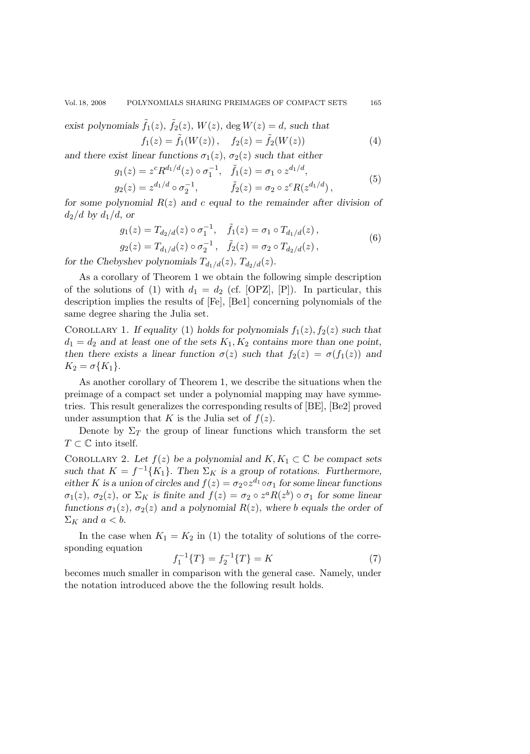exist polynomials 
$$
\tilde{f}_1(z)
$$
,  $\tilde{f}_2(z)$ ,  $W(z)$ , deg  $W(z) = d$ , such that  
\n
$$
f_1(z) = \tilde{f}_1(W(z)), \quad f_2(z) = \tilde{f}_2(W(z))
$$
\n(4)

and there exist linear functions  $\sigma_1(z)$ ,  $\sigma_2(z)$  *such that either* 

$$
g_1(z) = z^c R^{d_1/d}(z) \circ \sigma_1^{-1}, \quad \tilde{f}_1(z) = \sigma_1 \circ z^{d_1/d},
$$
  
\n
$$
g_2(z) = z^{d_1/d} \circ \sigma_2^{-1}, \qquad \tilde{f}_2(z) = \sigma_2 \circ z^c R(z^{d_1/d}),
$$
\n(5)

*for some polynomial* R(z) *and* c *equal to the remainder after division of*  $d_2/d$  by  $d_1/d$ , or

$$
g_1(z) = T_{d_2/d}(z) \circ \sigma_1^{-1}, \quad \tilde{f}_1(z) = \sigma_1 \circ T_{d_1/d}(z),
$$
  
\n
$$
g_2(z) = T_{d_1/d}(z) \circ \sigma_2^{-1}, \quad \tilde{f}_2(z) = \sigma_2 \circ T_{d_2/d}(z),
$$
\n(6)

*for the Chebyshev polynomials*  $T_{d_1/d}(z)$ *,*  $T_{d_2/d}(z)$ *.* 

As a corollary of Theorem 1 we obtain the following simple description of the solutions of (1) with  $d_1 = d_2$  (cf. [OPZ], [P]). In particular, this description implies the results of [Fe], [Be1] concerning polynomials of the same degree sharing the Julia set.

COROLLARY 1. *If equality* (1) *holds for polynomials*  $f_1(z)$ ,  $f_2(z)$  *such that*  $d_1 = d_2$  and at least one of the sets  $K_1, K_2$  contains more than one point, *then there exists a linear function*  $\sigma(z)$  *such that*  $f_2(z) = \sigma(f_1(z))$  *and*  $K_2 = \sigma\{K_1\}.$ 

As another corollary of Theorem 1, we describe the situations when the preimage of a compact set under a polynomial mapping may have symmetries. This result generalizes the corresponding results of [BE], [Be2] proved under assumption that K is the Julia set of  $f(z)$ .

Denote by  $\Sigma_T$  the group of linear functions which transform the set  $T\subset\mathbb{C}$  into itself.

COROLLARY 2. Let  $f(z)$  be a polynomial and  $K, K_1 \subset \mathbb{C}$  be compact sets *such that*  $K = f^{-1}{K_1}$ . *Then*  $\Sigma_K$  *is a group of rotations. Furthermore, either* K is a union of circles and  $f(z) = \sigma_2 \circ z^{d_1} \circ \sigma_1$  for some linear functions  $\sigma_1(z)$ ,  $\sigma_2(z)$ , or  $\Sigma_K$  *is finite and*  $f(z) = \sigma_2 \circ z^a R(z^b) \circ \sigma_1$  *for some linear functions*  $\sigma_1(z)$ *,*  $\sigma_2(z)$  *and a polynomial*  $R(z)$ *, where b equals the order of*  $\Sigma_K$  and  $a < b$ .

In the case when  $K_1 = K_2$  in (1) the totality of solutions of the corresponding equation

f <sup>−</sup><sup>1</sup>

$$
{}_{1}^{-1}\{T\} = f_{2}^{-1}\{T\} = K\tag{7}
$$

 $f_1^{-1}{T} = f_2^{-1}{T} = K$  (7)<br>becomes much smaller in comparison with the general case. Namely, under the notation introduced above the the following result holds.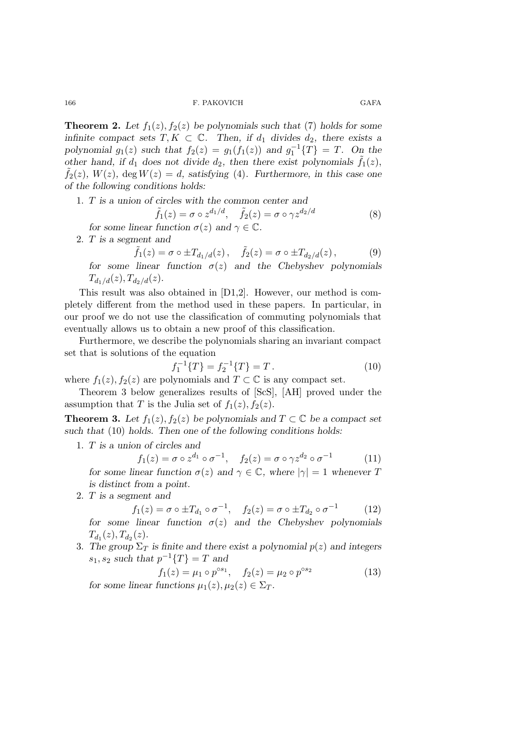**Theorem 2.** Let  $f_1(z)$ ,  $f_2(z)$  be polynomials such that (7) holds for some *infinite compact sets*  $T, K \subset \mathbb{C}$ *. Then, if*  $d_1$  *divides*  $d_2$ *, there exists a polynomial*  $g_1(z)$  *such that*  $f_2(z) = g_1(f_1(z))$  *and*  $g_1^{-1}{T} = T$ *. On the* other hand if d<sub>1</sub> does not divide d<sub>2</sub> then there exist polynomials  $\tilde{f}_1(z)$ *other hand, if*  $d_1$  *does not divide*  $d_2$ *, then there exist polynomials*  $\tilde{f}_1(z)$ *,*  $\tilde{f}_2(z)$ *,*  $W(z)$ *,* deg  $W(z) = d$ *, satisfying* (4)*. Furthermore, in this case one of the following conditions holds:*

1. T *is a union of circles with the common center and*

$$
\tilde{f}_1(z) = \sigma \circ z^{d_1/d}, \quad \tilde{f}_2(z) = \sigma \circ \gamma z^{d_2/d} \tag{8}
$$

*for some linear function*  $\sigma(z)$  *and*  $\gamma \in \mathbb{C}$ *.* 

2. T *is a segment and*

$$
f_1(z) = \sigma \circ \pm T_{d_1/d}(z), \quad f_2(z) = \sigma \circ \pm T_{d_2/d}(z),
$$
 (9)

 $\tilde{f}_1(z) = \sigma \circ \pm T_{d_1/d}(z), \quad \tilde{f}_2(z) = \sigma \circ \pm T_{d_2/d}(z),$  (9)<br>for some linear function  $\sigma(z)$  and the Chebyshev polynomials  $T_{d_1/d}(z)$ ,  $T_{d_2/d}(z)$ .

This result was also obtained in [D1,2]. However, our method is completely different from the method used in these papers. In particular, in our proof we do not use the classification of commuting polynomials that eventually allows us to obtain a new proof of this classification.

Furthermore, we describe the polynomials sharing an invariant compact set that is solutions of the equation

$$
f_1^{-1}\{T\} = f_2^{-1}\{T\} = T.
$$
\n10

\nlumomials and  $T \in \mathbb{C}$  is any compact set.

where  $f_1(z)$ ,  $f_2(z)$  are polynomials and  $T \subset \mathbb{C}$  is any compact set.<br>Theorem 2 holow generalizes results of  $[ScS]$ , [AII] neveral we

Theorem 3 below generalizes results of [ScS], [AH] proved under the assumption that T is the Julia set of  $f_1(z)$ ,  $f_2(z)$ .

**Theorem 3.** Let  $f_1(z)$ ,  $f_2(z)$  be polynomials and  $T \subset \mathbb{C}$  be a compact set *such that* (10) *holds. Then one of the following conditions holds:*

1. T *is a union of circles and*

$$
f_1(z) = \sigma \circ z^{d_1} \circ \sigma^{-1}, \quad f_2(z) = \sigma \circ \gamma z^{d_2} \circ \sigma^{-1} \tag{11}
$$

 $f_1(z) = \sigma \circ z^{d_1} \circ \sigma^{-1}$ ,  $f_2(z) = \sigma \circ \gamma z^{d_2} \circ \sigma^{-1}$  (11)<br>for some linear function  $\sigma(z)$  and  $\gamma \in \mathbb{C}$ , where  $|\gamma| = 1$  whenever T *is distinct from a point.*

2. T *is a segment and*

$$
f_1(z) = \sigma \circ \pm T_{d_1} \circ \sigma^{-1}, \quad f_2(z) = \sigma \circ \pm T_{d_2} \circ \sigma^{-1} \tag{12}
$$

 $f_1(z) = \sigma \circ \pm T_{d_1} \circ \sigma^{-1}$ ,  $f_2(z) = \sigma \circ \pm T_{d_2} \circ \sigma^{-1}$  (12)<br>for some linear function  $\sigma(z)$  and the Chebyshev polynomials  $T_{d_1}(z), T_{d_2}(z)$ .

3. The group  $\Sigma_T$  is finite and there exist a polynomial  $p(z)$  and integers  $s_1, s_2$  *such that*  $p^{-1}{T} = T$  *and* 

$$
f_1(z) = \mu_1 \circ p^{\circ s_1}, \quad f_2(z) = \mu_2 \circ p^{\circ s_2}
$$
 (13)

*for some linear functions*  $\mu_1(z), \mu_2(z) \in \Sigma_T$ .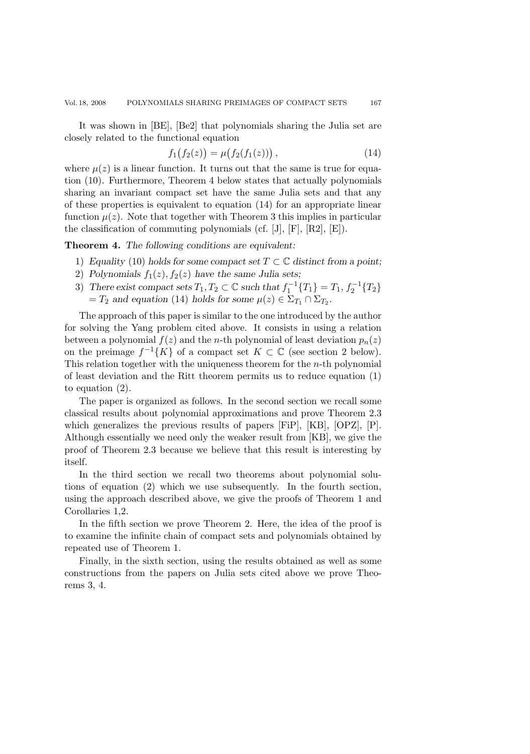It was shown in [BE], [Be2] that polynomials sharing the Julia set are closely related to the functional equation

$$
f_1(f_2(z)) = \mu(f_2(f_1(z)))\,,\tag{14}
$$

where  $\mu(z)$  is a linear function. It turns out that the same is true for equation (10). Furthermore, Theorem 4 below states that actually polynomials sharing an invariant compact set have the same Julia sets and that any of these properties is equivalent to equation (14) for an appropriate linear function  $\mu(z)$ . Note that together with Theorem 3 this implies in particular the classification of commuting polynomials (cf. [J], [F], [R2], [E]).

**Theorem 4.** *The following conditions are equivalent:*

- 1) *Equality* (10) *holds for some compact set*  $T \subset \mathbb{C}$  *distinct from a point:*
- 2) Polynomials  $f_1(z)$ ,  $f_2(z)$  have the same Julia sets;
- 3) There exist compact sets  $T_1, T_2 \subset \mathbb{C}$  such that  $f_1^{-1}\{T_1\} = T_1, f_2^{-1}\{T_2\}$ <br>- T<sub>2</sub> and equation (14) holds for some  $u(x) \in \sum_{x} \cap \sum_{x}$  $=T_2$  *and equation* (14) *holds for some*  $\mu(z) \in \Sigma_{T_1} \cap \Sigma_{T_2}$ *.*

The approach of this paper is similar to the one introduced by the author for solving the Yang problem cited above. It consists in using a relation between a polynomial  $f(z)$  and the *n*-th polynomial of least deviation  $p_n(z)$ on the preimage  $f^{-1}{K}$  of a compact set  $K \subset \mathbb{C}$  (see section 2 below). This relation together with the uniqueness theorem for the  $n$ -th polynomial of least deviation and the Ritt theorem permits us to reduce equation (1) to equation (2).

The paper is organized as follows. In the second section we recall some classical results about polynomial approximations and prove Theorem 2.3 which generalizes the previous results of papers [FiP], [KB], [OPZ], [P]. Although essentially we need only the weaker result from [KB], we give the proof of Theorem 2.3 because we believe that this result is interesting by itself.

In the third section we recall two theorems about polynomial solutions of equation (2) which we use subsequently. In the fourth section, using the approach described above, we give the proofs of Theorem 1 and Corollaries 1,2.

In the fifth section we prove Theorem 2. Here, the idea of the proof is to examine the infinite chain of compact sets and polynomials obtained by repeated use of Theorem 1.

Finally, in the sixth section, using the results obtained as well as some constructions from the papers on Julia sets cited above we prove Theorems 3, 4.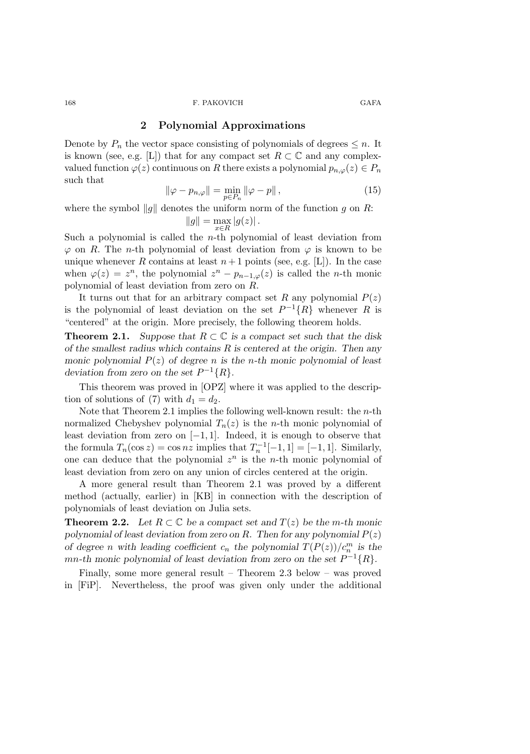## **2 Polynomial Approximations**

Denote by  $P_n$  the vector space consisting of polynomials of degrees  $\leq n$ . It is known (see, e.g. [L]) that for any compact set  $R \subset \mathbb{C}$  and any complexvalued function  $\varphi(z)$  continuous on R there exists a polynomial  $p_{n,\varphi}(z) \in P_n$ such that

$$
\|\varphi - p_{n,\varphi}\| = \min_{p \in P_n} \|\varphi - p\|,\tag{15}
$$

where the symbol  $\|g\|$  denotes the uniform norm of the function g on R:  $||g|| = \max_{x \in R} |g(z)|.$ 

Such a polynomial is called the *n*-th polynomial of least deviation from 
$$
\varphi
$$
 on *R*. The *n*-th polynomial of least deviation from  $\varphi$  is known to be unique whenever *R* contains at least  $n+1$  points (see, e.g. [L]). In the case when  $\varphi(z) = z^n$ , the polynomial  $z^n - p_{n-1,\varphi}(z)$  is called the *n*-th monic polynomial of least deviation from zero on *R*.

It turns out that for an arbitrary compact set R any polynomial  $P(z)$ is the polynomial of least deviation on the set  $P^{-1}{R}$  whenever R is "centered" at the origin. More precisely, the following theorem holds.

**Theorem 2.1.** *Suppose that*  $R \subset \mathbb{C}$  *is a compact set such that the disk of the smallest radius which contains* R *is centered at the origin. Then any monic polynomial* P(z) *of degree* n *is the* n*-th monic polynomial of least deviation from zero on the set*  $P^{-1}{R}$ .

This theorem was proved in [OPZ] where it was applied to the description of solutions of (7) with  $d_1 = d_2$ .

Note that Theorem 2.1 implies the following well-known result: the  $n$ -th normalized Chebyshev polynomial  $T_n(z)$  is the *n*-th monic polynomial of least deviation from zero on  $[-1, 1]$ . Indeed, it is enough to observe that the formula  $T_n(\cos z) = \cos nz$  implies that  $T_n^{-1}[-1, 1] = [-1, 1]$ . Similarly, one can deduce that the polynomial  $z^n$  is the *n*-th monic polynomial of least deviation from zero on any union of circles centered at the origin.

A more general result than Theorem 2.1 was proved by a different method (actually, earlier) in [KB] in connection with the description of polynomials of least deviation on Julia sets.

**Theorem 2.2.** Let  $R \subset \mathbb{C}$  be a compact set and  $T(z)$  be the m-th monic *polynomial of least deviation from zero on R. Then for any polynomial*  $P(z)$ *of degree n* with leading coefficient  $c_n$  the polynomial  $T(P(z))/c_n^m$  is the mn-th monic polynomial of least deviation from zero on the set  $P^{-1}{R}$ .

Finally, some more general result – Theorem 2.3 below – was proved in [FiP]. Nevertheless, the proof was given only under the additional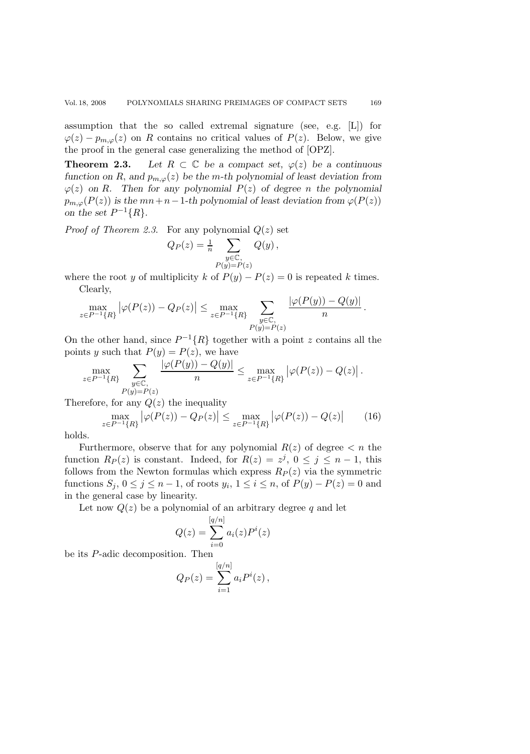assumption that the so called extremal signature (see, e.g. [L]) for  $\varphi(z) - p_{m,\varphi}(z)$  on R contains no critical values of  $P(z)$ . Below, we give the proof in the general case generalizing the method of [OPZ].

**Theorem 2.3.** Let  $R \subset \mathbb{C}$  be a compact set,  $\varphi(z)$  be a continuous *function on* R, and  $p_{m,\varphi}(z)$  *be the* m-th polynomial of least deviation from  $\varphi(z)$  on R. Then for any polynomial  $P(z)$  of degree n the polynomial  $p_{m,\varphi}(P(z))$  *is the*  $mn+n-1$ *-th polynomial of least deviation from*  $\varphi(P(z))$ *on the set*  $P^{-1}{R}$ .

*Proof of Theorem 2.3.* For any polynomial  $Q(z)$  set

$$
Q_P(z) = \frac{1}{n} \sum_{\substack{y \in \mathbb{C}, \\ P(y) = P(z)}} Q(y),
$$

where the root y of multiplicity k of  $P(y) - P(z) = 0$  is repeated k times. Clearly,

$$
\max_{z \in P^{-1}\{R\}} |\varphi(P(z)) - Q_P(z)| \le \max_{z \in P^{-1}\{R\}} \sum_{\substack{y \in \mathbb{C}, \\ P(y) = P(z)}} \frac{|\varphi(P(y)) - Q(y)|}{n}.
$$

On the other hand, since  $P^{-1}{R}$  together with a point z contains all the points y such that  $P(y) = P(z)$ , we have

$$
\max_{z \in P^{-1}\{R\}} \sum_{\substack{y \in \mathbb{C}, \\ P(y) = P(z)}} \frac{|\varphi(P(y)) - Q(y)|}{n} \le \max_{z \in P^{-1}\{R\}} |\varphi(P(z)) - Q(z)|.
$$

Therefore, for any  $Q(z)$  the inequality

$$
\max_{z \in P^{-1}\{R\}} |\varphi(P(z)) - Q_P(z)| \le \max_{z \in P^{-1}\{R\}} |\varphi(P(z)) - Q(z)| \qquad (16)
$$

holds.

Furthermore, observe that for any polynomial  $R(z)$  of degree  $\lt n$  the function  $R_P(z)$  is constant. Indeed, for  $R(z) = z^j$ ,  $0 \le j \le n-1$ , this follows from the Newton formulas which express  $R_P(z)$  via the symmetric functions  $S_j$ ,  $0 \le j \le n-1$ , of roots  $y_i$ ,  $1 \le i \le n$ , of  $P(y) - P(z) = 0$  and in the general case by linearity.

Let now  $Q(z)$  be a polynomial of an arbitrary degree q and let

$$
Q(z) = \sum_{i=0}^{[q/n]} a_i(z) P^i(z)
$$

be its P-adic decomposition. Then

$$
Q_P(z) = \sum_{i=1}^{[q/n]} a_i P^i(z)
$$
,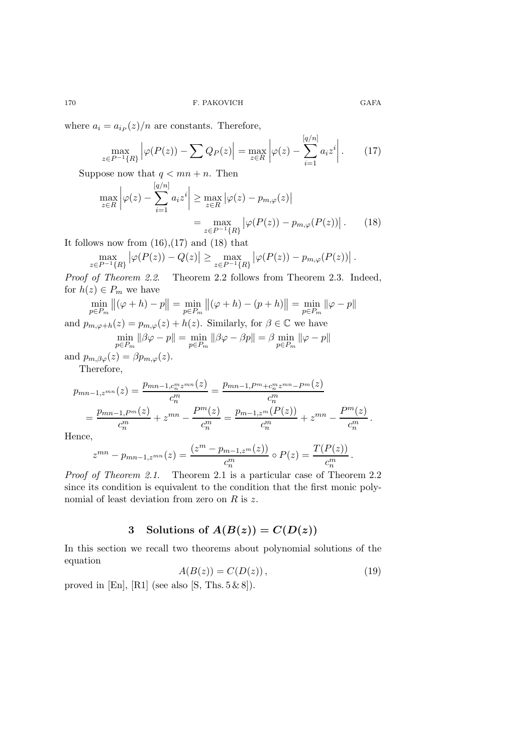where  $a_i = a_{iP}(z)/n$  are constants. Therefore,

$$
\max_{z \in P^{-1}\{R\}} \left| \varphi(P(z)) - \sum Q_P(z) \right| = \max_{z \in R} \left| \varphi(z) - \sum_{i=1}^{|q/n|} a_i z^i \right|.
$$
 (17)

Suppose now that  $q < mn + n$ . Then  $\lceil a/n \rceil$ 

$$
\max_{z \in R} \left| \varphi(z) - \sum_{i=1}^{|q/n|} a_i z^i \right| \ge \max_{z \in R} \left| \varphi(z) - p_{m,\varphi}(z) \right|
$$

$$
= \max_{z \in P^{-1}\{R\}} \left| \varphi(P(z)) - p_{m,\varphi}(P(z)) \right|. \tag{18}
$$

It follows now from  $(16),(17)$  and  $(18)$  that

$$
\max_{z\in P^{-1}\{R\}}\left|\varphi(P(z)) - Q(z)\right| \ge \max_{z\in P^{-1}\{R\}}\left|\varphi(P(z)) - p_{m,\varphi}(P(z))\right|.
$$

*Proof of Theorem 2.2*. Theorem 2.2 follows from Theorem 2.3. Indeed, for  $h(z) \in P_m$  we have

$$
\min_{p \in P_m} ||(\varphi + h) - p|| = \min_{p \in P_m} ||(\varphi + h) - (p + h)|| = \min_{p \in P_m} ||\varphi - p||
$$

and  $p_{m,\varphi+h}(z) = p_{m,\varphi}(z) + h(z)$ . Similarly, for  $\beta \in \mathbb{C}$  we have

$$
\min_{p \in P_m} \|\beta \varphi - p\| = \min_{p \in P_m} \|\beta \varphi - \beta p\| = \beta \min_{p \in P_m} \|\varphi - p\|
$$

and  $p_{m,\beta\varphi}(z) = \beta p_{m,\varphi}(z)$ . Therefore,

$$
p_{mn-1,z^{mn}}(z) = \frac{p_{mn-1,c_n^m z^{mn}}(z)}{c_n^m} = \frac{p_{mn-1,P^m+c_n^m z^{mn}-P^m}(z)}{c_n^m}
$$
  
= 
$$
\frac{p_{mn-1,P^m}(z)}{c_n^m} + z^{mn} - \frac{P^m(z)}{c_n^m} = \frac{p_{m-1,z^m}(P(z))}{c_n^m} + z^{mn} - \frac{P^m(z)}{c_n^m}.
$$

Hence,

$$
z^{mn} - p_{mn-1,z^{mn}}(z) = \frac{(z^m - p_{m-1,z^m}(z))}{c_n^m} \circ P(z) = \frac{T(P(z))}{c_n^m}.
$$

*Proof of Theorem 2.1.* Theorem 2.1 is a particular case of Theorem 2.2 since its condition is equivalent to the condition that the first monic polynomial of least deviation from zero on  $R$  is  $z$ .

## **3** Solutions of  $A(B(z)) = C(D(z))$

In this section we recall two theorems about polynomial solutions of the equation

$$
A(B(z)) = C(D(z)), \qquad (19)
$$

proved in [En], [R1] (see also [S, Ths.  $5 \& 8$ ]).

 $\int_{-\infty}^{\infty} f(x) dx$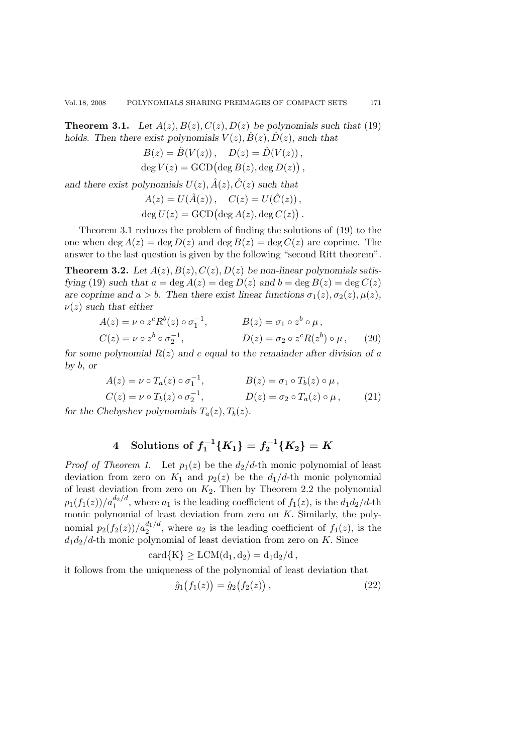171

**Theorem 3.1.** *Let*  $A(z)$ ,  $B(z)$ ,  $C(z)$ ,  $D(z)$  *be polynomials such that* (19) *holds.* Then there exist polynomials  $V(z)$ ,  $B(z)$ ,  $D(z)$ , such that

$$
B(z) = \hat{B}(V(z)), \quad D(z) = \hat{D}(V(z)),
$$
  
deg  $V(z)$  = GCD (deg  $B(z)$ , deg  $D(z)$ ),

and there exist polynomials  $U(z)$ ,  $\hat{A}(z)$ ,  $\hat{C}(z)$  *such that* 

$$
A(z) = U(\hat{A}(z)), \quad C(z) = U(\hat{C}(z)),
$$
  
deg  $U(z)$  = GCD( $\text{deg } A(z), \text{deg } C(z)$ ).

Theorem 3.1 reduces the problem of finding the solutions of (19) to the one when deg  $A(z) = \deg D(z)$  and  $\deg B(z) = \deg C(z)$  are coprime. The answer to the last question is given by the following "second Ritt theorem".

**Theorem 3.2.** Let  $A(z)$ ,  $B(z)$ ,  $C(z)$ ,  $D(z)$  be non-linear polynomials satis*fying* (19) *such that*  $a = \deg A(z) = \deg D(z)$  *and*  $b = \deg B(z) = \deg C(z)$ *are coprime and*  $a > b$ *. Then there exist linear functions*  $\sigma_1(z), \sigma_2(z), \mu(z)$ *,*  $\nu(z)$  *such that either* 

$$
A(z) = \nu \circ z^c R^b(z) \circ \sigma_1^{-1}, \qquad B(z) = \sigma_1 \circ z^b \circ \mu,
$$
  
\n
$$
C(z) = \nu \circ z^b \circ \sigma_2^{-1}, \qquad D(z) = \sigma_2 \circ z^c R(z^b) \circ \mu, \qquad (20)
$$

*for some polynomial* R(z) *and* c *equal to the remainder after division of* a *by* b*, or*

$$
A(z) = \nu \circ T_a(z) \circ \sigma_1^{-1}, \qquad B(z) = \sigma_1 \circ T_b(z) \circ \mu,
$$
  
\n
$$
C(z) = \nu \circ T_b(z) \circ \sigma_2^{-1}, \qquad D(z) = \sigma_2 \circ T_a(z) \circ \mu,
$$
\n(21)

*for the Chebyshev polynomials*  $T_a(z)$ ,  $T_b(z)$ *.* 

# **4** Solutions of  $f_1^{-1}{K_1} = f_2^{-1}{K_2} = K$

*Proof of Theorem 1.* Let  $p_1(z)$  be the  $d_2/d$ -th monic polynomial of least deviation from zero on  $K_1$  and  $p_2(z)$  be the  $d_1/d$ -th monic polynomial of least deviation from zero on  $K_2$ . Then by Theorem 2.2 the polynomial  $p_1(f_1(z))/a_1^{d_2/d}$ , where  $a_1$  is the leading coefficient of  $f_1(z)$ , is the  $d_1d_2/d$ -th<br>monic polynomial of least deviation from zero on K. Similarly, the polymonic polynomial of least deviation from zero on  $K$ . Similarly, the polynomial  $p_2(f_2(z))/a_2^{d_1/d}$ , where  $a_2$  is the leading coefficient of  $f_1(z)$ , is the  $d_1 d_2/d$ -th monic polynomial of least deviation from zero on K. Since

$$
card{K} \geq LCM(d_1, d_2) = d_1d_2/d,
$$

it follows from the uniqueness of the polynomial of least deviation that

$$
\hat{g}_1(f_1(z)) = \hat{g}_2(f_2(z)), \qquad (22)
$$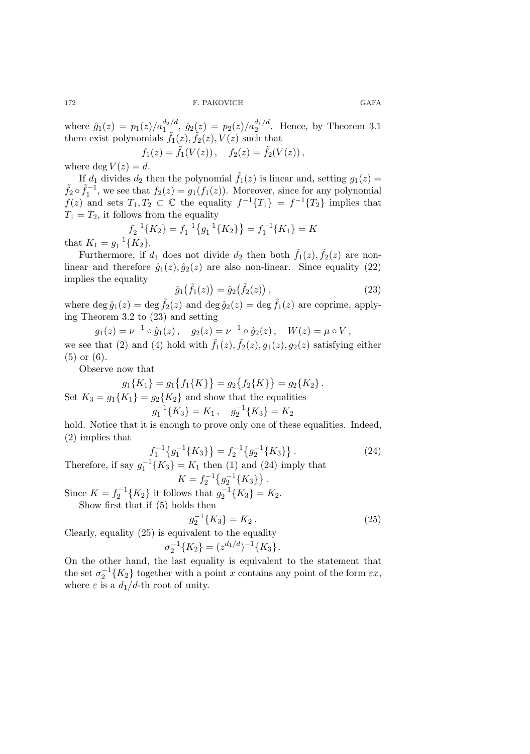where  $\hat{g}_1(z) = p_1(z)/a_1^{d_2/d}$ ,  $\hat{g}_2(z) = p_2(z)/a_2^{d_1/d}$ . Hence, by Theorem 3.1 there exist polynomials  $\tilde{f}_1(z)$ ,  $\tilde{f}_2(z)$ ,  $V(z)$  such that

 $f_1(z) = \tilde{f}_1(V(z)), \quad f_2(z) = \tilde{f}_2(V(z)),$ 

where deg  $V(z) = d$ .<br>
If  $d_1$  divides  $d_2$  then the polynomial  $\tilde{f}_1(z)$  is linear and, setting  $g_1(z) =$ If  $d_1$  divides  $d_2$  then the polynomial  $\tilde{f}_1(z)$  is linear and, setting  $g_1(z) = \tilde{f}_2 \circ \tilde{f}_1^{-1}$ , we see that  $f_2(z) = g_1(f_1(z))$ . Moreover, since for any polynomial  $f(z)$  and sets  $T_c$ ,  $T_c \subset \mathbb{C}$  the equality  $f$  $f(z)$  and sets  $T_1, T_2 \subset \mathbb{C}$  the equality  $f^{-1}{T_1} = f^{-1}{T_2}$  implies that  $T_1 = T_2$ , it follows from the equality

$$
f_2^{-1}\{K_2\} = f_1^{-1}\{g_1^{-1}\{K_2\}\} = f_1^{-1}\{K_1\} = K
$$
that  $K_1 = g_1^{-1}\{K_2\}$ .  
Furthermore, if  $d_1$  does not divide  $d_2$ , then both  $\tilde{f}_1(z)$ .

Furthermore, if  $d_1$  does not divide  $d_2$  then both  $\tilde{f}_1(z), \tilde{f}_2(z)$  are non-<br>an and therefore  $\hat{f}_1(z)$ ,  $\hat{f}_2(z)$  are also non-linear. Since equality (23) linear and therefore  $\hat{g}_1(z), \hat{g}_2(z)$  are also non-linear. Since equality (22) implies the equality

$$
\hat{g}_1(\tilde{f}_1(z)) = \hat{g}_2(\tilde{f}_2(z)),\tag{23}
$$

where deg  $\hat{g}_1(z) = \text{deg }\tilde{f}_2(z)$  and  $\text{deg }\hat{g}_2(z) = \text{deg }\tilde{f}_1(z)$  are coprime, applying Theorem 3.2 to (23) and setting

 $g_1(z) = \nu^{-1} \circ \hat{g}_1(z)$ ,  $g_2(z) = \nu^{-1} \circ \hat{g}_2(z)$ ,  $W(z) = \mu \circ V$ , we see that (2) and (4) hold with  $\tilde{f}_1(z)$ ,  $\tilde{f}_2(z)$ ,  $g_1(z)$ ,  $g_2(z)$  satisfying either (5) or (6).

Observe now that

$$
g_1\{K_1\} = g_1\{f_1\{K\}\} = g_2\{f_2\{K\}\} = g_2\{K_2\}.
$$
  
Set  $K_3 = g_1\{K_1\} = g_2\{K_2\}$  and show that the equalities  

$$
g_1^{-1}\{K_3\} = K_1, \quad g_2^{-1}\{K_3\} = K_2
$$
  
hold. Notice that it is enough to prove only one of these equalities. Indeed,

(2) implies that

$$
f_1^{-1}\left\{g_1^{-1}\left\{K_3\right\}\right\} = f_2^{-1}\left\{g_2^{-1}\left\{K_3\right\}\right\}.
$$
 (24)

Therefore, if say  $g_1^{-1}{K_3} = K_1$  then (1) and (24) imply that<br>  $K = f_2^{-1}{g_2^{-1}{K_3}}$ .<br>
Since  $K = f_1(K)$  is followed that  $f_1^{-1}(K) = K$ 

Since  $K = f_2^{-1}{K_2}$  it follows that  $g_2^{-1}{K_3} = K_2$ .<br>Show first that if (5) holds then Show first that if (5) holds then

$$
g_2^{-1}\{K_3\} = K_2. \tag{25}
$$

Clearly, equality (25) is equivalent to the equality

$$
\sigma_2^{-1}\{K_2\} = (z^{d_1/d})^{-1}\{K_3\}.
$$

On the other hand, the last equality is equivalent to the statement that the set  $\sigma_2^{-1}{K_2}$  together with a point x contains any point of the form  $\varepsilon x$ ,<br>where  $\varepsilon$  is a d, (d, th root of unity where  $\varepsilon$  is a  $d_1/d$ -th root of unity.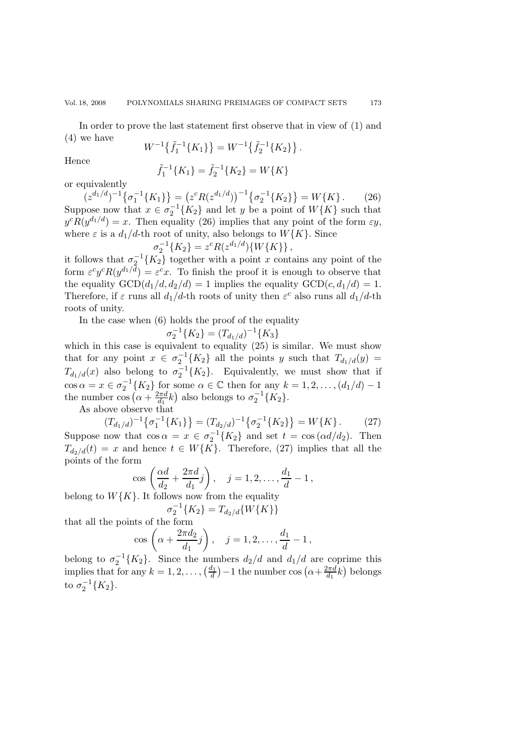In order to prove the last statement first observe that in view of (1) and (4) we have

$$
W^{-1}\left\{\tilde{f}_1^{-1}\left\{K_1\right\}\right\} = W^{-1}\left\{\tilde{f}_2^{-1}\left\{K_2\right\}\right\}.
$$

Hence  $\tilde{f}_1^{-1}$ 

$$
\tilde{f}_1^{-1}\{K_1\} = \tilde{f}_2^{-1}\{K_2\} = W\{K\}
$$

or equivalently

 $(z^{d_1/d})^{-1} \{\sigma_1^{-1}\{K_1\}\} = (z^c R (z^{d_1/d}))^{-1} \{\sigma_2^{-1}\{K_2\}\} = W\{K\}.$  (26) Suppose now that  $x \in \sigma_2^{-1}{K_2}$  and let y be a point of  $W{K}$  such that  $\sigma_2(R_{1d}d_1/d) = x$ . Then equality (26) implies that any point of the form  $\epsilon y$ .  $y^{c}R(y^{d_1/d}) = x$ . Then equality (26) implies that any point of the form  $\epsilon y$ , where  $\varepsilon$  is a  $d_1/d$ -th root of unity, also belongs to  $W\{K\}$ . Since

$$
\sigma_2^{-1}\lbrace K_2 \rbrace = z^c R(z^{d_1/d}) \lbrace W\lbrace K \rbrace \rbrace,
$$
  
Let  $\langle K_1 \rangle$  to  $\langle K_2 \rangle$  to  $\langle K_1 \rangle$  to  $\langle K_2 \rangle$ .

it follows that  $\sigma_2^{-1}{K_2}$  together with a point x contains any point of the it follows that  $\sigma_2^{-1}{K_2}$  together with a point x contains any point of the form  $\varepsilon^c y^c R(y^{d_1/d}) = \varepsilon^c x$ . To finish the proof it is enough to observe that the equality  $GCD(d_1/d, d_2/d) = 1$  implies the equality  $GCD(c, d_1/d) = 1$ . Therefore, if  $\varepsilon$  runs all  $d_1/d$ -th roots of unity then  $\varepsilon^c$  also runs all  $d_1/d$ -th roots of unity.

In the case when (6) holds the proof of the equality

$$
\sigma_2^{-1}\{K_2\} = (T_{d_1/d})^{-1}\{K_3\}
$$

 $\sigma_2^{-1}{K_2} = (T_{d_1/d})^{-1}{K_3}$ <br>which in this case is equivalent to equality (25) is similar. We must show that for any point  $x \in \sigma_2^{-1}{K_2}$  all the points y such that  $T_{d_1/d}(y) =$ <br> $T_{d_1/d}(y) = \sigma_1(x)$  is regular to  $\sigma_1^{-1}(K)$ . Equivalently, we must show that if  $T_{d_1/d}(x)$  also belong to  $\sigma_2^{-1}{K_2}$ . Equivalently, we must show that if cos  $\alpha = x \in \sigma_2^{-1}{K_2}$  for some  $\alpha \in \mathbb{C}$  then for any  $k = 1, 2, ..., (d_1/d) - 1$ <br>the number cos  $(\alpha + \frac{2\pi d}{d_1}k)$  also belongs to  $\sigma_2^{-1}{K_2}$ .<br>As above observe that

As above observe that

$$
(T_{d_1/d})^{-1}\{\sigma_1^{-1}\{K_1\}\} = (T_{d_2/d})^{-1}\{\sigma_2^{-1}\{K_2\}\} = W\{K\}.
$$
 (27)

Suppose now that  $\cos \alpha = x \in \sigma_2^{-1}{K_2}$  and set  $t = \cos(\alpha d/d_2)$ . Then  $T_{k+1}(t) = x$  and hence  $t \in W(K)$ . Therefore (27) implies that all the  $T_{d_2/d}(t) = x$  and hence  $t \in W\{K\}$ . Therefore, (27) implies that all the points of the form

$$
\cos\left(\frac{\alpha d}{d_2}+\frac{2\pi d}{d_1}j\right), \quad j=1,2,\ldots,\frac{d_1}{d}-1\,,
$$

belong to  $W\{K\}$ . It follows now from the equality

$$
\sigma_2^{-1}\{K_2\} = T_{d_2/d}\{W\{K\}\}
$$

that all the points of the form

$$
\cos\left(\alpha + \frac{2\pi d_2}{d_1}j\right), \quad j = 1, 2, \dots, \frac{d_1}{d} - 1,
$$

belong to  $\sigma_2^{-1}{K_2}$ . Since the numbers  $d_2/d$  and  $d_1/d$  are coprime this implies that for any  $k = 1, 2, \ldots, \left(\frac{d_1}{d_1}\right)$ , 1 the number  $\cos\left(\alpha + \frac{2\pi d_1}{d_1}\right)$  belongs implies that for any  $k = 1, 2, ..., (\frac{d_1}{d}) - 1$  the number cos  $(\alpha + \frac{2\pi d}{d_1}k)$  belongs to  $\sigma_2^{-1}\{K_2\}.$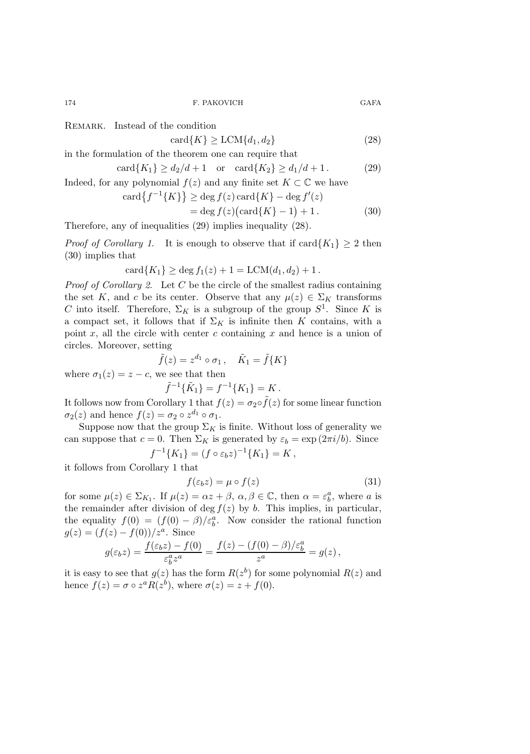REMARK. Instead of the condition

$$
card{K} \ge LCM{d_1, d_2}
$$
 (28)

in the formulation of the theorem one can require that

$$
\operatorname{card}\{K_1\} \ge d_2/d + 1 \quad \text{or} \quad \operatorname{card}\{K_2\} \ge d_1/d + 1. \tag{29}
$$

Indeed, for any polynomial  $f(z)$  and any finite set  $K \subset \mathbb{C}$  we have

$$
card{f^{-1}{K}} \ge deg f(z) card{K} - deg f'(z)
$$
  
= deg f(z)(card{K} - 1) + 1. (30)

Therefore, any of inequalities (29) implies inequality (28).

*Proof of Corollary 1*. It is enough to observe that if  $\text{card}\{K_1\} \geq 2$  then (30) implies that

$$
card{K_1} \geq deg f_1(z) + 1 = LCM(d_1, d_2) + 1.
$$

*Proof of Corollary 2*. Let C be the circle of the smallest radius containing the set K, and c be its center. Observe that any  $\mu(z) \in \Sigma_K$  transforms C into itself. Therefore,  $\Sigma_K$  is a subgroup of the group  $S^1$ . Since K is a compact set, it follows that if  $\Sigma_K$  is infinite then K contains, with a point x, all the circle with center c containing x and hence is a union of circles. Moreover, setting

$$
\tilde{f}(z) = z^{d_1} \circ \sigma_1, \quad \tilde{K}_1 = \tilde{f}\{K\}
$$
  
*c*, we see that then

$$
\tilde{f}^{-1}\{\tilde{K}_1\} = f^{-1}\{K_1\} = K.
$$

It follows now from Corollary 1 that  $f(z) = \sigma_2 \circ \tilde{f}(z)$  for some linear function  $\sigma_2(z)$  and hence  $f(z) = \sigma_2 \circ z^{d_1} \circ \sigma_1$ .

Suppose now that the group  $\Sigma_K$  is finite. Without loss of generality we can suppose that  $c = 0$ . Then  $\Sigma_K$  is generated by  $\varepsilon_b = \exp(2\pi i/b)$ . Since  $f^{-1}{K_1} = (f \circ \varepsilon_b z)^{-1}{K_1} = K,$ 

it follows from Corollary 1 that

where  $\sigma_1(z) = z$  –

$$
f(\varepsilon_b z) = \mu \circ f(z) \tag{31}
$$

for some  $\mu(z) \in \Sigma_{K_1}$ . If  $\mu(z) = \alpha z + \beta$ ,  $\alpha, \beta \in \mathbb{C}$ , then  $\alpha = \varepsilon_b^a$ , where a is the remainder after division of deg  $f(z)$  by b. This implies, in particular, the equality  $f(0) = (f(0) - \beta)/\varepsilon_b^a$ . Now consider the rational function  $g(z)=(f(z) - f(0))/z^a$ . Since

$$
g(\varepsilon_b z) = \frac{f(\varepsilon_b z) - f(0)}{\varepsilon_b^a z^a} = \frac{f(z) - (f(0) - \beta)/\varepsilon_b^a}{z^a} = g(z),
$$

it is easy to see that  $g(z)$  has the form  $R(z^b)$  for some polynomial  $R(z)$  and hence  $f(z) = \sigma \circ z^a R(z^b)$ , where  $\sigma(z) = z + f(0)$ .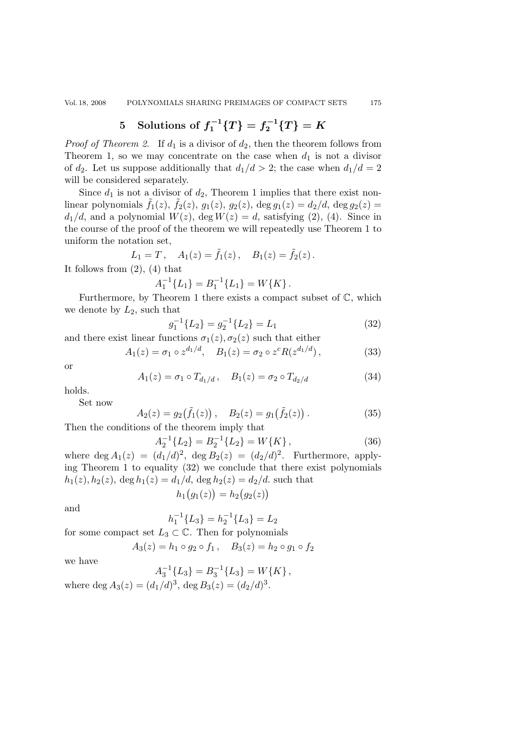# **5** Solutions of  $f_1^{-1}{T}$   ${T}$   $F_2^{-1}{T}$   ${T}$

*Proof of Theorem 2.* If  $d_1$  is a divisor of  $d_2$ , then the theorem follows from Theorem 1, so we may concentrate on the case when  $d_1$  is not a divisor of  $d_2$ . Let us suppose additionally that  $d_1/d > 2$ ; the case when  $d_1/d = 2$ will be considered separately.

Since  $d_1$  is not a divisor of  $d_2$ , Theorem 1 implies that there exist nonlinear polynomials  $\tilde{f}_1(z)$ ,  $\tilde{f}_2(z)$ ,  $g_1(z)$ ,  $g_2(z)$ ,  $\deg g_1(z) = d_2/d$ ,  $\deg g_2(z) =$  $d_1/d$ , and a polynomial  $W(z)$ ,  $\deg W(z) = d$ , satisfying (2), (4). Since in the course of the proof of the theorem we will repeatedly use Theorem 1 to uniform the notation set,

$$
L_1 = T, \quad A_1(z) = \tilde{f}_1(z), \quad B_1(z) = \tilde{f}_2(z).
$$

It follows from  $(2)$ ,  $(4)$  that

$$
A_1^{-1}{L_1} = B_1^{-1}{L_1} = W{K}.
$$

 $A_1^{-1}{L_1} = B_1^{-1}{L_1} = W{K}.$ <br>Furthermore, by Theorem 1 there exists a compact subset of  $\mathbb{C}$ , which we denote by  $L_2$ , such that

$$
g_1^{-1}\{L_2\} = g_2^{-1}\{L_2\} = L_1
$$
\n(32)

and there exist linear functions  $\sigma_1(z)$ ,  $\sigma_2(z)$  such that either

$$
A_1(z) = \sigma_1 \circ z^{d_1/d}, \quad B_1(z) = \sigma_2 \circ z^c R(z^{d_1/d}), \tag{33}
$$

or

$$
A_1(z) = \sigma_1 \circ T_{d_1/d}, \quad B_1(z) = \sigma_2 \circ T_{d_2/d}
$$
 (34)

holds.

Set now

$$
A_2(z) = g_2(\tilde{f}_1(z)), \quad B_2(z) = g_1(\tilde{f}_2(z)). \tag{35}
$$

Then the conditions of the theorem imply that

$$
A_2^{-1}\{L_2\} = B_2^{-1}\{L_2\} = W\{K\},\tag{36}
$$

where deg  $A_1(z)=(d_1/d)^2$ , deg  $B_2(z)=(d_2/d)^2$ . Furthermore, apply-<br>ing Theorem 1 to equality (22) we conclude that there exist notworping ing Theorem 1 to equality (32) we conclude that there exist polynomials  $h_1(z)$ ,  $h_2(z)$ ,  $\deg h_1(z) = d_1/d$ ,  $\deg h_2(z) = d_2/d$ . such that

$$
h_1(g_1(z)) = h_2(g_2(z))
$$

and

$$
h_1^{-1}{L_3} = h_2^{-1}{L_3} = L_2
$$

for some compact set  $L_3 \subset \mathbb{C}$ . Then for polynomials

$$
A_3(z) = h_1 \circ g_2 \circ f_1, \quad B_3(z) = h_2 \circ g_1 \circ f_2
$$

we have

$$
A_3^{-1}{L_3} = B_3^{-1}{L_3} = W\{K\},\
$$

where 
$$
\deg A_3(z) = (d_1/d)^3
$$
,  $\deg B_3(z) = (d_2/d)^3$ .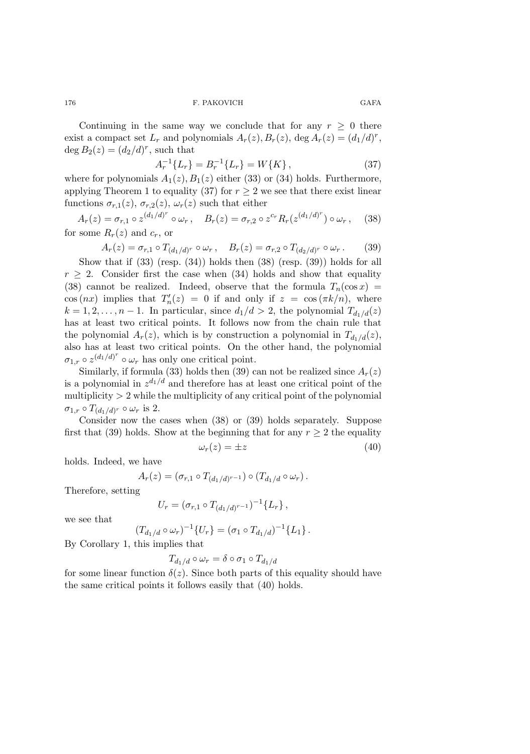Continuing in the same way we conclude that for any  $r \geq 0$  there exist a compact set  $L_r$  and polynomials  $A_r(z)$ ,  $B_r(z)$ , deg  $A_r(z)=(d_1/d)^r$ , deg  $B_2(z)=(d_2/d)^r$ , such that

$$
A_r^{-1}\{L_r\} = B_r^{-1}\{L_r\} = W\{K\},\tag{37}
$$

where for polynomials  $A_1(z)$ ,  $B_1(z)$  either (33) or (34) holds. Furthermore, applying Theorem 1 to equality (37) for  $r \geq 2$  we see that there exist linear functions  $\sigma_{r,1}(z)$ ,  $\sigma_{r,2}(z)$ ,  $\omega_r(z)$  such that either

 $A_r(z) = \sigma_{r,1} \circ z^{(d_1/d)^r} \circ \omega_r, \quad B_r(z) = \sigma_{r,2} \circ z^{c_r} R_r(z^{(d_1/d)^r}) \circ \omega_r,$  (38) for some  $R_r(z)$  and  $c_r$ , or

$$
A_r(z) = \sigma_{r,1} \circ T_{(d_1/d)^r} \circ \omega_r, \quad B_r(z) = \sigma_{r,2} \circ T_{(d_2/d)^r} \circ \omega_r. \tag{39}
$$

Show that if (33) (resp. (34)) holds then (38) (resp. (39)) holds for all  $r \geq 2$ . Consider first the case when (34) holds and show that equality (38) cannot be realized. Indeed, observe that the formula  $T_n(\cos x) =$  $\cos(nx)$  implies that  $T'_n(z) = 0$  if and only if  $z = \cos(\pi k/n)$ , where  $k = 1, 2, \ldots, n - 1$ . In particular, since  $d_1/d > 2$ , the polynomial  $T_{d_1/d}(z)$ has at least two critical points. It follows now from the chain rule that the polynomial  $A_r(z)$ , which is by construction a polynomial in  $T_{d_1/d}(z)$ , also has at least two critical points. On the other hand, the polynomial  $\sigma_{1,r} \circ z^{(d_1/d)^r} \circ \omega_r$  has only one critical point.

Similarly, if formula (33) holds then (39) can not be realized since  $A_r(z)$ is a polynomial in  $z^{d_1/d}$  and therefore has at least one critical point of the multiplicity  $> 2$  while the multiplicity of any critical point of the polynomial  $\sigma_{1,r} \circ T_{(d_1/d)^r} \circ \omega_r$  is 2.

Consider now the cases when (38) or (39) holds separately. Suppose first that (39) holds. Show at the beginning that for any  $r \geq 2$  the equality

$$
\omega_r(z) = \pm z \tag{40}
$$

holds. Indeed, we have

$$
A_r(z) = (\sigma_{r,1} \circ T_{(d_1/d)^{r-1}}) \circ (T_{d_1/d} \circ \omega_r).
$$

Therefore, setting

$$
U_r = (\sigma_{r,1} \circ T_{(d_1/d)^{r-1}})^{-1} \{L_r\},\,
$$

we see that

$$
(T_{d_1/d} \circ \omega_r)^{-1} \{U_r\} = (\sigma_1 \circ T_{d_1/d})^{-1} \{L_1\}.
$$

By Corollary 1, this implies that

$$
T_{d_1/d} \circ \omega_r = \delta \circ \sigma_1 \circ T_{d_1/d}
$$

for some linear function  $\delta(z)$ . Since both parts of this equality should have the same critical points it follows easily that (40) holds.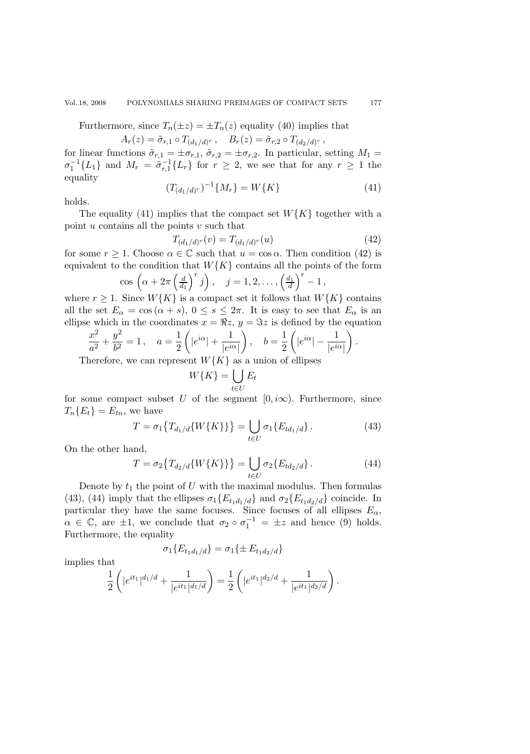Furthermore, since  $T_n(\pm z) = \pm T_n(z)$  equality (40) implies that

 $A_r(z)=\tilde{\sigma}_{r,1} \circ T_{(d_1/d)^r}$ ,  $B_r(z)=\tilde{\sigma}_{r,2} \circ T_{(d_2/d)^r}$ ,

for linear functions  $\tilde{\sigma}_{r,1} = \pm \sigma_{r,1}$ ,  $\tilde{\sigma}_{r,2} = \pm \sigma_{r,2}$ . In particular, setting  $M_1 =$  $\sigma_1^{-1}{L_1}$  and  $M_r = \tilde{\sigma}_{r,1}^{-1}{L_r}$  for  $r \geq 2$ , we see that for any  $r \geq 1$  the equality

$$
(T_{(d_1/d)^r})^{-1}\{M_r\} = W\{K\} \tag{41}
$$

holds.

The equality (41) implies that the compact set  $W\{K\}$  together with a point  $u$  contains all the points  $v$  such that

$$
T_{(d_1/d)^r}(v) = T_{(d_1/d)^r}(u)
$$
\n(42)

for some  $r \ge 1$ . Choose  $\alpha \in \mathbb{C}$  such that  $u = \cos \alpha$ . Then condition (42) is equivalent to the condition that  $W\{K\}$  contains all the points of the form

$$
\cos\left(\alpha + 2\pi \left(\frac{d}{d_1}\right)^r j\right), \quad j = 1, 2, \dots, \left(\frac{d_1}{d}\right)^r - 1,
$$
  
Since W(K) is a compact set it follows that W

where  $r \geq 1$ . Since  $W\{K\}$  is a compact set it follows that  $W\{K\}$  contains all the set  $E_{\alpha} = \cos(\alpha + s)$ ,  $0 \le s \le 2\pi$ . It is easy to see that  $E_{\alpha}$  is an ellipse which in the coordinates  $x = \Re z$ ,  $y = \Im z$  is defined by the equation

$$
\frac{x^2}{a^2} + \frac{y^2}{b^2} = 1, \quad a = \frac{1}{2} \left( |e^{i\alpha}| + \frac{1}{|e^{i\alpha}|} \right), \quad b = \frac{1}{2} \left( |e^{i\alpha}| - \frac{1}{|e^{i\alpha}|} \right).
$$
  
Therefore, we can represent  $W\{K\}$  as a union of ellipses

Therefore, we can represent  $W\{K\}$  as a union of ellipses

$$
W\{K\} = \bigcup_{t \in U} E_t
$$

for some compact subset U of the segment  $[0, i\infty)$ . Furthermore, since  $T_n\{E_t\} = E_{tn}$ , we have

$$
T = \sigma_1 \{ T_{d_1/d} \{ W \{ K \} \} \} = \bigcup_{t \in U} \sigma_1 \{ E_{td_1/d} \} . \tag{43}
$$

On the other hand,

$$
T = \sigma_2 \{ T_{d_2/d} \{ W \{ K \} \} \} = \bigcup_{t \in U} \sigma_2 \{ E_{td_2/d} \} . \tag{44}
$$

Denote by  $t_1$  the point of U with the maximal modulus. Then formulas (43), (44) imply that the ellipses  $\sigma_1\{E_{t_1d_1/d}\}\$  and  $\sigma_2\{E_{t_1d_2/d}\}\$  coincide. In particular they have the same focuses. Since focuses of all ellipses  $E_{\alpha}$ ,  $\alpha \in \mathbb{C}$ , are  $\pm 1$ , we conclude that  $\sigma_2 \circ \sigma_1^{-1} = \pm z$  and hence (9) holds.<br>Furthermore the equality Furthermore, the equality

$$
\sigma_1\{E_{t_1d_1/d}\} = \sigma_1\{\pm E_{t_1d_2/d}\}
$$

implies that

$$
\frac{1}{2}\left(|e^{it_1}|^{d_1/d} + \frac{1}{|e^{it_1}|^{d_1/d}}\right) = \frac{1}{2}\left(|e^{it_1}|^{d_2/d} + \frac{1}{|e^{it_1}|^{d_2/d}}\right).
$$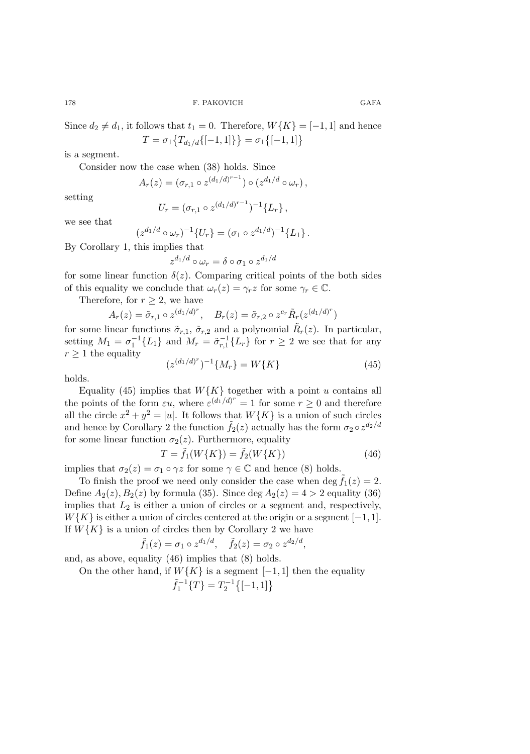Since  $d_2 \neq d_1$ , it follows that  $t_1 = 0$ . Therefore,  $W\{K\} = [-1, 1]$  and hence  $T = \sigma_1 \big\{ T_{d_1/d} \{ [-1, 1] \} \big\} = \sigma_1 \big\{ [-1, 1] \big\}$ 

is a segment.

Consider now the case when (38) holds. Since

 $A_r(z)=(\sigma_{r,1}\circ z^{(d_1/d)^{r-1}})\circ (z^{d_1/d}\circ \omega_r),$ 

setting

$$
U_r = (\sigma_{r,1} \circ z^{(d_1/d)^{r-1}})^{-1} \{L_r\},\,
$$

we see that

$$
(z^{d_1/d} \circ \omega_r)^{-1} \{U_r\} = (\sigma_1 \circ z^{d_1/d})^{-1} \{L_1\}.
$$

By Corollary 1, this implies that

$$
z^{d_1/d} \circ \omega_r = \delta \circ \sigma_1 \circ z^{d_1/d}
$$

for some linear function  $\delta(z)$ . Comparing critical points of the both sides of this equality we conclude that  $\omega_r(z) = \gamma_r z$  for some  $\gamma_r \in \mathbb{C}$ .

Therefore, for  $r \geq 2$ , we have

$$
A_r(z) = \tilde{\sigma}_{r,1} \circ z^{(d_1/d)^r}, \quad B_r(z) = \tilde{\sigma}_{r,2} \circ z^{c_r} \tilde{R}_r(z^{(d_1/d)^r})
$$

for some linear functions  $\tilde{\sigma}_{r,1}$ ,  $\tilde{\sigma}_{r,2}$  and a polynomial  $\tilde{R}_r(z)$ . In particular, setting  $M_1 = \sigma_1^{-1}{L_1}$  and  $M_r = \tilde{\sigma}_{r,1}^{-1}{L_r}$  for  $r \ge 2$  we see that for any  $r > 1$  the equality  $r \geq 1$  the equality (z(d1/d)*<sup>r</sup>*

$$
(z^{(d_1/d)^r})^{-1}\{M_r\} = W\{K\} \tag{45}
$$

holds.

Equality (45) implies that  $W\{K\}$  together with a point u contains all the points of the form  $\varepsilon u$ , where  $\varepsilon^{(d_1/d)^r} = 1$  for some  $r \geq 0$  and therefore all the circle  $x^2 + y^2 = |u|$ . It follows that  $W\{K\}$  is a union of such circles and hence by Corollary 2 the function  $\tilde{f}_2(z)$  actually has the form  $\sigma_2 \circ z^{d_2/d}$ for some linear function  $\sigma_2(z)$ . Furthermore, equality

$$
T = \tilde{f}_1(W\{K\}) = \tilde{f}_2(W\{K\})
$$
\n(46)

implies that  $\sigma_2(z) = \sigma_1 \circ \gamma z$  for some  $\gamma \in \mathbb{C}$  and hence (8) holds.

To finish the proof we need only consider the case when deg  $f_1(z) = 2$ . Define  $A_2(z)$ ,  $B_2(z)$  by formula (35). Since deg  $A_2(z)=4 > 2$  equality (36) implies that  $L_2$  is either a union of circles or a segment and, respectively,  $W\{K\}$  is either a union of circles centered at the origin or a segment [−1, 1]. If  $W\{K\}$  is a union of circles then by Corollary 2 we have

$$
\tilde{f}_1(z) = \sigma_1 \circ z^{d_1/d}, \quad \tilde{f}_2(z) = \sigma_2 \circ z^{d_2/d},
$$

and, as above, equality (46) implies that (8) holds.

On the other hand, if  $W\{K\}$  is a segment [−1, 1] then the equality

$$
\tilde{f}_1^{-1}\{T\} = T_2^{-1}\{[-1,1]\}
$$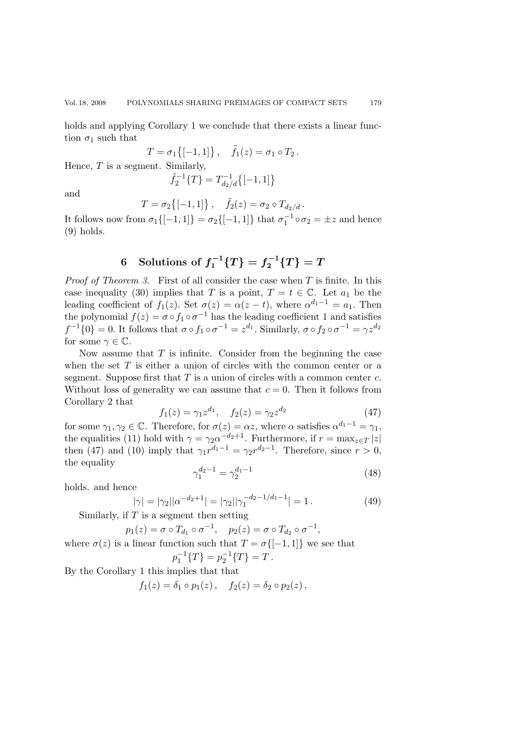holds and applying Corollary 1 we conclude that there exists a linear function  $\sigma_1$  such that

$$
T = \sigma_1 \{ [-1, 1] \}, \quad \tilde{f}_1(z) = \sigma_1 \circ T_2.
$$

Hence,  $T$  is a segment. Similarly,

$$
\tilde{f}_2^{-1}\{T\} = T_{d_2/d}^{-1}\{[-1,1]\}
$$

and

$$
T = \sigma_2 \{ [-1, 1] \}, \quad \tilde{f}_2(z) = \sigma_2 \circ T_{d_2/d}.
$$

It follows now from  $\sigma_1\{[-1,1]\} = \sigma_2\{[-1,1]\}$  that  $\sigma_1^{-1} \circ \sigma_2 = \pm z$  and hence  $(0)$  holds (9) holds.

# **6** Solutions of  $f_1^{-1}{T}$   $\{T\} = f_2^{-1}{T}$

*Proof of Theorem 3*. First of all consider the case when T is finite. In this case inequality (30) implies that T is a point,  $T = t \in \mathbb{C}$ . Let  $a_1$  be the leading coefficient of  $f_1(z)$ . Set  $\sigma(z) = \alpha(z - t)$ , where  $\alpha^{d_1 - 1} = a_1$ . Then the polynomial  $f(z) = \sigma \circ f_1 \circ \sigma^{-1}$  has the leading coefficient 1 and satisfies  $f^{-1}\{0\} = 0$ . It follows that  $\sigma \circ f_1 \circ \sigma^{-1} = z^{d_1}$ . Similarly,  $\sigma \circ f_2 \circ \sigma^{-1} = \gamma z^{d_2}$ for some  $\gamma \in \mathbb{C}$ .

Now assume that  $T$  is infinite. Consider from the beginning the case when the set  $T$  is either a union of circles with the common center or a segment. Suppose first that  $T$  is a union of circles with a common center  $c$ . Without loss of generality we can assume that  $c = 0$ . Then it follows from Corollary 2 that

$$
f_1(z) = \gamma_1 z^{d_1}, \quad f_2(z) = \gamma_2 z^{d_2} \tag{47}
$$

for some  $\gamma_1, \gamma_2 \in \mathbb{C}$ . Therefore, for  $\sigma(z) = \alpha z$ , where  $\alpha$  satisfies  $\alpha^{d_1 - 1} = \gamma_1$ , the equalities (11) hold with  $\gamma = \gamma_2 \alpha^{-d_2+1}$ . Furthermore, if  $r = \max_{z \in T} |z|$ <br>then (47) and (10) imply that  $\alpha x^{d_1-1} = \alpha x^{d_2-1}$ . Therefore, since  $x > 0$ . then (47) and (10) imply that  $\gamma_1 r^{d_1-1} = \gamma_2 r^{d_2-1}$ . Therefore, since  $r > 0$ , the equality

$$
\gamma_1^{d_2 - 1} = \gamma_2^{d_1 - 1} \tag{48}
$$

holds. and hence

$$
|\gamma| = |\gamma_2||\alpha^{-d_2+1}| = |\gamma_2||\gamma_1^{-d_2-1/d_1-1}| = 1.
$$
 (49)

Similarly, if  $T$  is a segment then setting

$$
p_1(z) = \sigma \circ T_{d_1} \circ \sigma^{-1}, \quad p_2(z) = \sigma \circ T_{d_2} \circ \sigma^{-1},
$$

where  $\sigma(z)$  is a linear function such that  $T = \sigma\{[-1, 1]\}\;$  we see that  $p_1^{-1}\{T\} = p_2^{-1}\{T\} = T.$ 

By the Corollary 1 this implies that that

$$
f_1(z) = \delta_1 \circ p_1(z), \quad f_2(z) = \delta_2 \circ p_2(z),
$$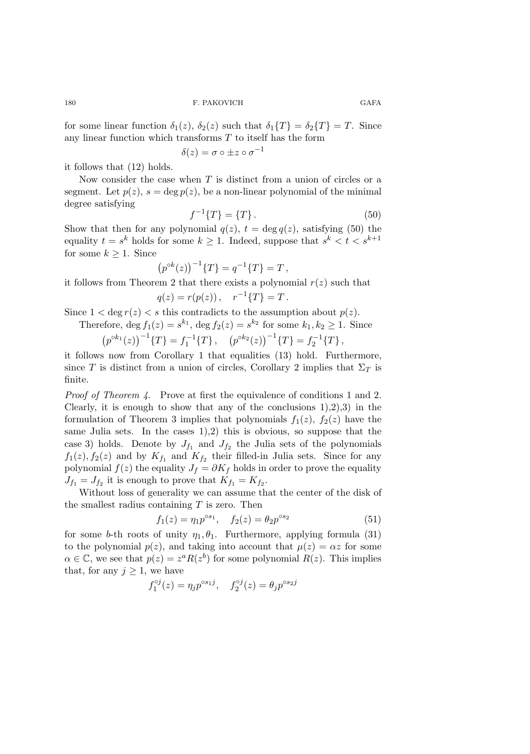for some linear function  $\delta_1(z)$ ,  $\delta_2(z)$  such that  $\delta_1\{T\} = \delta_2\{T\} = T$ . Since any linear function which transforms  $T$  to itself has the form

$$
\delta(z) = \sigma \circ \pm z \circ \sigma^{-1}
$$

it follows that (12) holds.

Now consider the case when  $T$  is distinct from a union of circles or a segment. Let  $p(z)$ ,  $s = \deg p(z)$ , be a non-linear polynomial of the minimal degree satisfying

$$
f^{-1}\{T\} = \{T\}.
$$
\n(50)

Show that then for any polynomial  $q(z)$ ,  $t = \deg q(z)$ , satisfying (50) the equality  $t = s^k$  holds for some  $k \geq 1$ . Indeed, suppose that  $s^k < t < s^{k+1}$ for some  $k \geq 1$ . Since

$$
(p^{\circ k}(z))^{-1}{T} = q^{-1}{T} = T,
$$

it follows from Theorem 2 that there exists a polynomial  $r(z)$  such that

$$
q(z) = r(p(z)), \quad r^{-1}{T} = T.
$$

Since  $1 < \deg r(z) < s$  this contradicts to the assumption about  $p(z)$ .

Therefore, deg  $f_1(z) = s^{k_1}$ , deg  $f_2(z) = s^{k_2}$  for some  $k_1, k_2 \geq 1$ . Since

$$
\left(p^{\circ k_1}(z)\right)^{-1}\lbrace T\rbrace = f_1^{-1}\lbrace T\rbrace, \quad \left(p^{\circ k_2}(z)\right)^{-1}\lbrace T\rbrace = f_2^{-1}\lbrace T\rbrace,
$$
  
it follows now from Corollary 1 that equalities (13) hold. Furthermore,

since T is distinct from a union of circles, Corollary 2 implies that  $\Sigma_T$  is finite.

*Proof of Theorem 4.* Prove at first the equivalence of conditions 1 and 2. Clearly, it is enough to show that any of the conclusions  $1,2,3$  in the formulation of Theorem 3 implies that polynomials  $f_1(z)$ ,  $f_2(z)$  have the same Julia sets. In the cases 1),2) this is obvious, so suppose that the case 3) holds. Denote by  $J_{f_1}$  and  $J_{f_2}$  the Julia sets of the polynomials  $f_1(z)$ ,  $f_2(z)$  and by  $K_{f_1}$  and  $K_{f_2}$  their filled-in Julia sets. Since for any polynomial  $f(z)$  the equality  $J_f = \partial K_f$  holds in order to prove the equality  $J_{f_1} = J_{f_2}$  it is enough to prove that  $K_{f_1} = K_{f_2}$ .

Without loss of generality we can assume that the center of the disk of the smallest radius containing  $T$  is zero. Then

$$
f_1(z) = \eta_1 p^{\circ s_1}, \quad f_2(z) = \theta_2 p^{\circ s_2} \tag{51}
$$

for some b-th roots of unity  $\eta_1, \theta_1$ . Furthermore, applying formula (31) to the polynomial  $p(z)$ , and taking into account that  $\mu(z) = \alpha z$  for some  $\alpha \in \mathbb{C}$ , we see that  $p(z) = z^a R(z^b)$  for some polynomial  $R(z)$ . This implies that, for any  $j \geq 1$ , we have

$$
f_1^{\circ j}(z) = \eta_j p^{\circ s_1 j}, \quad f_2^{\circ j}(z) = \theta_j p^{\circ s_2 j}
$$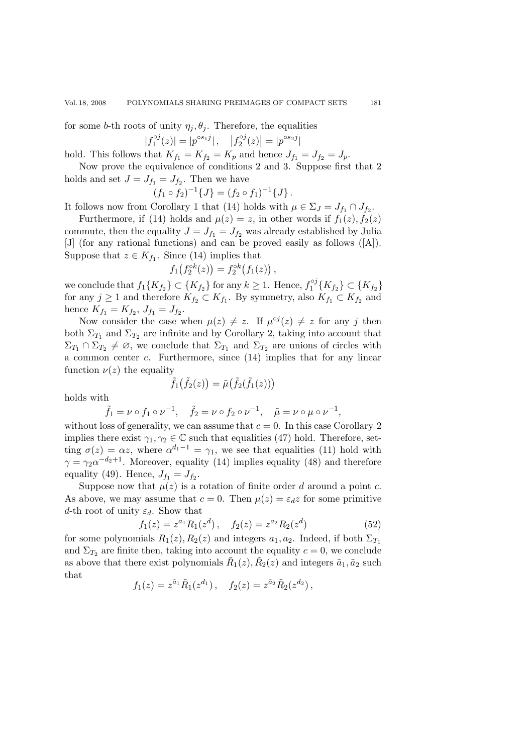for some b-th roots of unity  $\eta_i, \theta_i$ . Therefore, the equalities

$$
|f_1^{oj}(z)| = |p^{\circ s_1 j}|, \quad |f_2^{oj}(z)| = |p^{\circ s_2 j}|
$$

hold. This follows that  $K_{f_1} = K_{f_2} = K_p$  and hence  $J_{f_1} = J_{f_2} = J_p$ .

Now prove the equivalence of conditions 2 and 3. Suppose first that 2 holds and set  $J = J_{f_1} = J_{f_2}$ . Then we have

$$
(f_1 \circ f_2)^{-1} \{J\} = (f_2 \circ f_1)^{-1} \{J\}.
$$

It follows now from Corollary 1 that (14) holds with  $\mu \in \Sigma_J = J_{f_1} \cap J_{f_2}$ .

Furthermore, if (14) holds and  $\mu(z) = z$ , in other words if  $f_1(z)$ ,  $f_2(z)$ commute, then the equality  $J = J_{f_1} = J_{f_2}$  was already established by Julia [J] (for any rational functions) and can be proved easily as follows ([A]). Suppose that  $z \in K_{f_1}$ . Since (14) implies that

$$
f_1(f_2^{\circ k}(z)) = f_2^{\circ k}(f_1(z)),
$$

we conclude that  $f_1\{K_{f_2}\}\subset \{K_{f_2}\}$  for any  $k\geq 1$ . Hence,  $f_1^{\circ j}\{K_{f_2}\}\subset \{K_{f_2}\}$  for any  $j\geq 1$  and therefore  $K_{f_2}\subset K_{f_1}$ . By symmetry, also  $K_{f_1}\subset K_{f_2}$  and hence  $K_{f_1} = K_{f_2}, J_{f_1} = J_{f_2}.$ 

Now consider the case when  $\mu(z) \neq z$ . If  $\mu^{\circ j}(z) \neq z$  for any j then both  $\Sigma_{T_1}$  and  $\Sigma_{T_2}$  are infinite and by Corollary 2, taking into account that  $\Sigma_{T_1} \cap \Sigma_{T_2} \neq \emptyset$ , we conclude that  $\Sigma_{T_1}$  and  $\Sigma_{T_2}$  are unions of circles with a common center c. Furthermore, since (14) implies that for any linear function  $\nu(z)$  the equality

$$
\tilde{f}_1(\tilde{f}_2(z)) = \tilde{\mu}(\tilde{f}_2(\tilde{f}_1(z)))
$$

holds with

$$
\tilde{f}_1 = \nu \circ f_1 \circ \nu^{-1}, \quad \tilde{f}_2 = \nu \circ f_2 \circ \nu^{-1}, \quad \tilde{\mu} = \nu \circ \mu \circ \nu^{-1},
$$

without loss of generality, we can assume that  $c = 0$ . In this case Corollary 2 implies there exist  $\gamma_1, \gamma_2 \in \mathbb{C}$  such that equalities (47) hold. Therefore, setting  $\sigma(z) = \alpha z$ , where  $\alpha^{d_1-1} = \gamma_1$ , we see that equalities (11) hold with  $\gamma = \gamma_2 \alpha^{-d_2+1}$ . Moreover, equality (14) implies equality (48) and therefore equality (49). Hence,  $J_{f_1} = J_{f_2}$ .

Suppose now that  $\mu(z)$  is a rotation of finite order d around a point c. As above, we may assume that  $c = 0$ . Then  $\mu(z) = \varepsilon_d z$  for some primitive d-th root of unity  $\varepsilon_d$ . Show that

$$
f_1(z) = z^{a_1} R_1(z^d), \quad f_2(z) = z^{a_2} R_2(z^d)
$$
 (52)

for some polynomials  $R_1(z)$ ,  $R_2(z)$  and integers  $a_1, a_2$ . Indeed, if both  $\Sigma_{T_1}$ and  $\Sigma_{T_2}$  are finite then, taking into account the equality  $c = 0$ , we conclude as above that there exist polynomials  $\tilde{R}_1(z), \tilde{R}_2(z)$  and integers  $\tilde{a}_1, \tilde{a}_2$  such that

$$
f_1(z) = z^{\tilde{a}_1} \tilde{R}_1(z^{d_1}), \quad f_2(z) = z^{\tilde{a}_2} \tilde{R}_2(z^{d_2}),
$$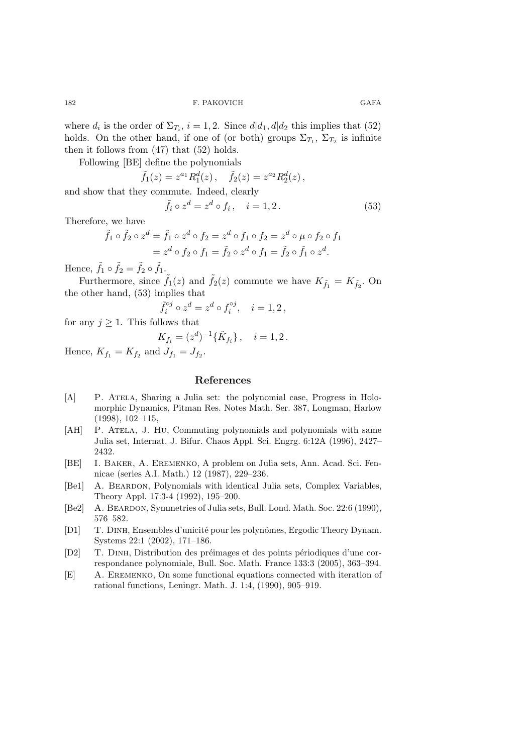where  $d_i$  is the order of  $\Sigma_{T_i}$ ,  $i = 1, 2$ . Since  $d|d_1, d|d_2$  this implies that (52) holds. On the other hand, if one of (or both) groups  $\Sigma_{T_1}$ ,  $\Sigma_{T_2}$  is infinite then it follows from (47) that (52) holds.

Following [BE] define the polynomials

$$
\tilde{f}_1(z) = z^{a_1} R_1^d(z) \,, \quad \tilde{f}_2(z) = z^{a_2} R_2^d(z) \,,
$$
 and show that they commute. Indeed, clearly

$$
\tilde{f}_i \circ z^d = z^d \circ f_i, \quad i = 1, 2. \tag{53}
$$

Therefore, we have

$$
\tilde{f}_1 \circ \tilde{f}_2 \circ z^d = \tilde{f}_1 \circ z^d \circ f_2 = z^d \circ f_1 \circ f_2 = z^d \circ \mu \circ f_2 \circ f_1
$$

$$
= z^d \circ f_2 \circ f_1 = \tilde{f}_2 \circ z^d \circ f_1 = \tilde{f}_2 \circ \tilde{f}_1 \circ z^d.
$$

Hence,  $\tilde{f}_1 \circ \tilde{f}_2 = \tilde{f}_2 \circ \tilde{f}_1$ .

Furthermore, since  $\tilde{f}_1(z)$  and  $\tilde{f}_2(z)$  commute we have  $K_{\tilde{f}_1} = K_{\tilde{f}_2}$ . On the other hand, (53) implies that

$$
\tilde{f}_i^{\circ j} \circ z^d = z^d \circ f_i^{\circ j}, \quad i = 1, 2,
$$

for any  $j \geq 1$ . This follows that

$$
K_{f_i} = (z^d)^{-1} \{ \tilde{K}_{f_i} \}, \quad i = 1, 2 \, .
$$

Hence,  $K_{f_1} = K_{f_2}$  and  $J_{f_1} = J_{f_2}$ .

### **References**

- [A] P. ATELA, Sharing a Julia set: the polynomial case, Progress in Holomorphic Dynamics, Pitman Res. Notes Math. Ser. 387, Longman, Harlow (1998), 102–115,
- [AH] P. ATELA, J. Hu, Commuting polynomials and polynomials with same Julia set, Internat. J. Bifur. Chaos Appl. Sci. Engrg. 6:12A (1996), 2427– 2432.
- [BE] I. Baker, A. Eremenko, A problem on Julia sets, Ann. Acad. Sci. Fennicae (series A.I. Math.) 12 (1987), 229–236.
- [Be1] A. BEARDON, Polynomials with identical Julia sets, Complex Variables, Theory Appl. 17:3-4 (1992), 195–200.
- [Be2] A. Beardon, Symmetries of Julia sets, Bull. Lond. Math. Soc. 22:6 (1990), 576–582.
- [D1] T. DINH, Ensembles d'unicité pour les polynômes, Ergodic Theory Dynam. Systems 22:1 (2002), 171–186.
- [D2] T. DINH, Distribution des préimages et des points périodiques d'une correspondance polynomiale, Bull. Soc. Math. France 133:3 (2005), 363–394.
- [E] A. Eremenko, On some functional equations connected with iteration of rational functions, Leningr. Math. J. 1:4, (1990), 905–919.